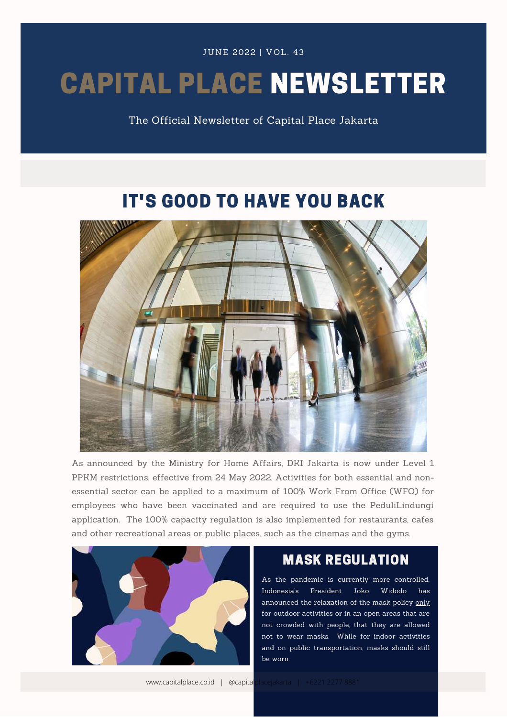JUNE 2022 | VOL. 43

# CAPITAL PLACE NEWSLETTER

The Official Newsletter of Capital Place Jakarta

# IT'S GOOD TO HAVE YOU BACK



As announced by the Ministry for Home Affairs, DKI Jakarta is now under Level 1 PPKM restrictions, effective from 24 May 2022. Activities for both essential and nonessential sector can be applied to a maximum of 100% Work From Office (WFO) for employees who have been vaccinated and are required to use the PeduliLindungi application. The 100% capacity regulation is also implemented for restaurants, cafes and other recreational areas or public places, such as the cinemas and the gyms.



### MASK REGULATION

As the pandemic is currently more controlled, Indonesia's President Joko Widodo has announced the relaxation of the mask policy only for outdoor activities or in an open areas that are not crowded with people, that they are allowed not to wear masks. While for indoor activities and on public transportation, masks should still be worn.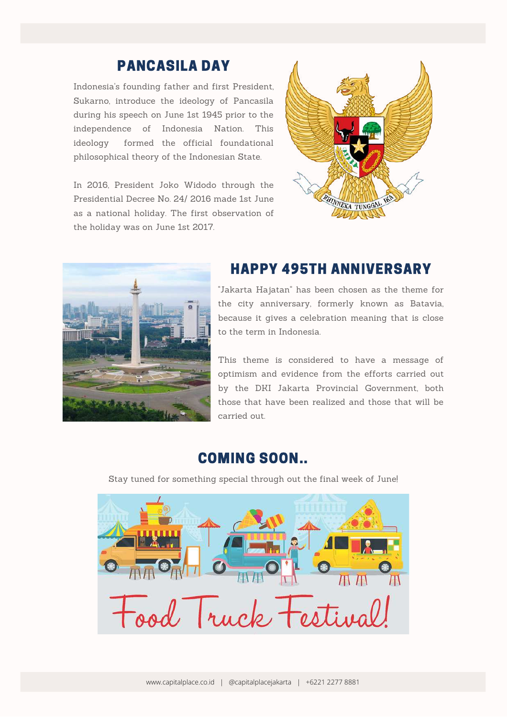# PANCASILA DAY

Indonesia's founding father and first President, Sukarno, introduce the ideology of Pancasila during his speech on June 1st 1945 prior to the independence of Indonesia Nation. This ideology formed the official foundational philosophical theory of the Indonesian State.

In 2016, President Joko Widodo through the Presidential Decree No. 24/ 2016 made 1st June as a national holiday. The first observation of the holiday was on June 1st 2017.





### HAPPY 495TH ANNIVERSARY

"Jakarta Hajatan" has been chosen as the theme for the city anniversary, formerly known as Batavia, because it gives a celebration meaning that is close to the term in Indonesia.

This theme is considered to have a message of optimism and evidence from the efforts carried out by the DKI Jakarta Provincial Government, both those that have been realized and those that will be carried out.

### COMING SOON..

Stay tuned for something special through out the final week of June!

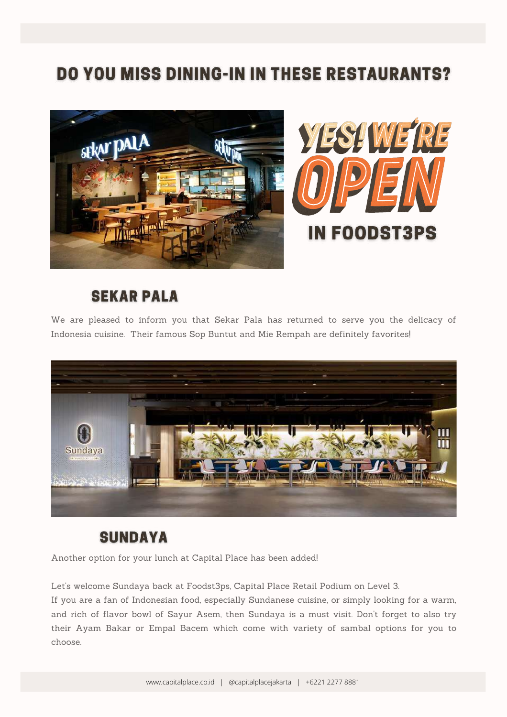# **DO YOU MISS DINING-IN IN THESE RESTAURANTS?**





## **SEKAR PALA**

We are pleased to inform you that Sekar Pala has returned to serve you the delicacy of Indonesia cuisine. Their famous Sop Buntut and Mie Rempah are definitely favorites!



### **SUNDAYA**

Another option for your lunch at Capital Place has been added!

Let's welcome Sundaya back at Foodst3ps, Capital Place Retail Podium on Level 3.

If you are a fan of Indonesian food, especially Sundanese cuisine, or simply looking for a warm, and rich of flavor bowl of Sayur Asem, then Sundaya is a must visit. Don't forget to also try their Ayam Bakar or Empal Bacem which come with variety of sambal options for you to choose.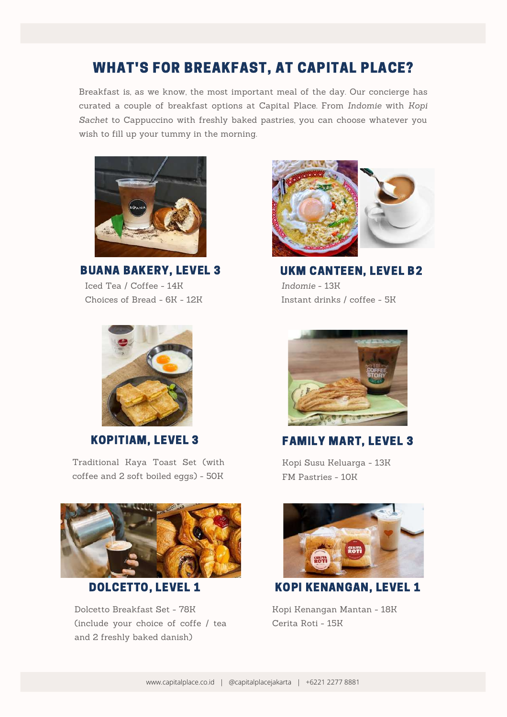## WHAT'S FOR BREAKFAST, AT CAPITAL PLACE?

Breakfast is, as we know, the most important meal of the day. Our concierge has curated a couple of breakfast options at Capital Place. From *Indomie* with *Kopi Sachet* to Cappuccino with freshly baked pastries, you can choose whatever you wish to fill up your tummy in the morning.



BUANA BAKERY, LEVEL 3 Iced Tea / Coffee - 14K Choices of Bread - 6K - 12K



KOPITIAM, LEVEL 3

Traditional Kaya Toast Set (with coffee and 2 soft boiled eggs) - 50K



### DOLCETTO, LEVEL 1

Dolcetto Breakfast Set - 78K (include your choice of coffe / tea and 2 freshly baked danish)



UKM CANTEEN, LEVEL B2 *Indomie* - 13K Instant drinks / coffee - 5K



#### FAMILY MART, LEVEL 3

Kopi Susu Keluarga - 13K FM Pastries - 10K



KOPI KENANGAN, LEVEL 1

Kopi Kenangan Mantan - 18K Cerita Roti - 15K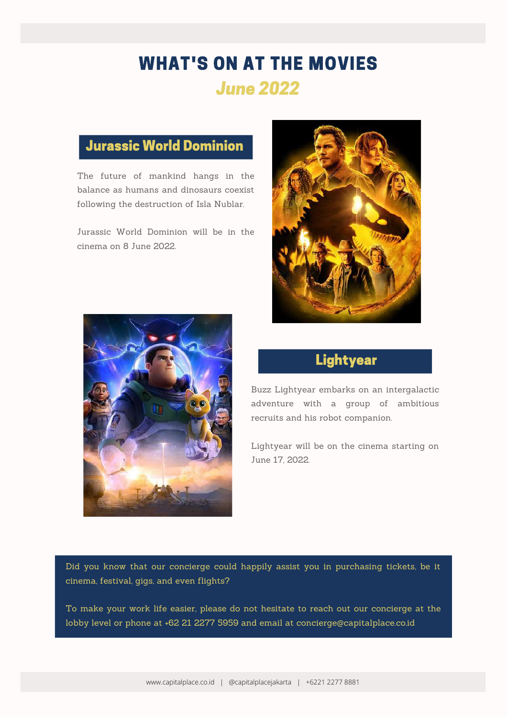# WHAT'S ON AT THE MOVIES June 2022

# Jurassic World Dominion

The future of mankind hangs in the balance as humans and dinosaurs coexist following the destruction of Isla Nublar.

Jurassic World Dominion will be in the cinema on 8 June 2022.





### **Lightyear**

Buzz Lightyear embarks on an intergalactic adventure with a group of ambitious recruits and his robot companion.

Lightyear will be on the cinema starting on June 17, 2022.

Did you know that our concierge could happily assist you in purchasing tickets, be it cinema, festival, gigs, and even flights?

To make your work life easier, please do not hesitate to reach out our concierge at the lobby level or phone at +62 21 2277 5959 and email at concierge@capitalplace.co.id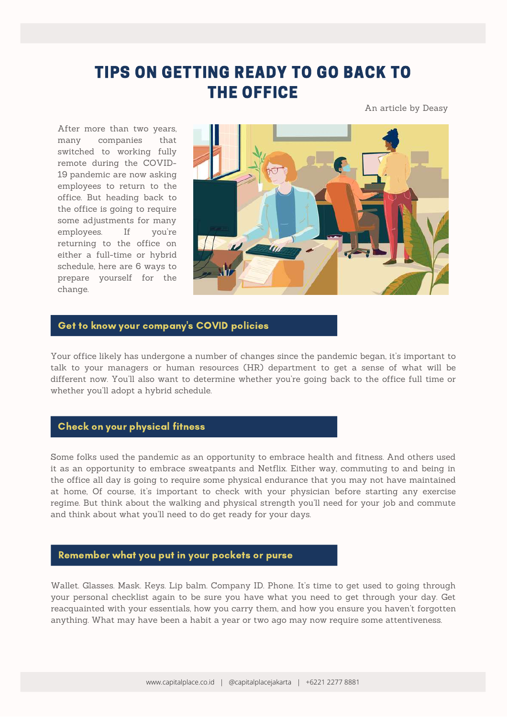# TIPS ON GETTING READY TO GO BACK TO THE OFFICE

An article by Deasy

After more than two years, many companies that switched to working fully remote during the COVID-19 [pandemic](https://www.aarp.org/health/conditions-treatments/info-2020/coronavirus-facts.html) are now asking employees to return to the office. But heading back to the office is going to require some adjustments for many employees. If you're returning to the office on either a full-time or hybrid [schedule,](https://www.aarp.org/work/careers/hybrid-office-tips/) here are 6 ways to prepare yourself for the change.



#### Get to know your company's COVID policies

Your office likely has [undergone](https://www.aarp.org/work/careers/return-to-office-changes/) a number of changes since the pandemic began, it's important to talk to your managers or human resources (HR) department to get a sense of what will be different now. You'll also want to determine whether you're going back to the office full time or whether you'll adopt a hybrid schedule.

#### Check on your physical fitness

Some folks used the pandemic as an opportunity to embrace health and fitness. And others used it as an opportunity to embrace sweatpants and Netflix. Either way, commuting to and being in the office all day is going to require some physical endurance that you may not have maintained at home, Of course, it's important to check with your physician before starting any exercise regime. But think about the walking and physical strength you'll need for your job and commute and think about what you'll need to do get ready for your days.

#### Remember what you put in your pockets or purse

Wallet. Glasses. Mask. Keys. Lip balm. Company ID. Phone. It's time to get used to going through your personal checklist again to be sure you have what you need to get through your day. Get reacquainted with your essentials, how you carry them, and how you ensure you haven't forgotten anything. What may have been a habit a year or two ago may now require some attentiveness.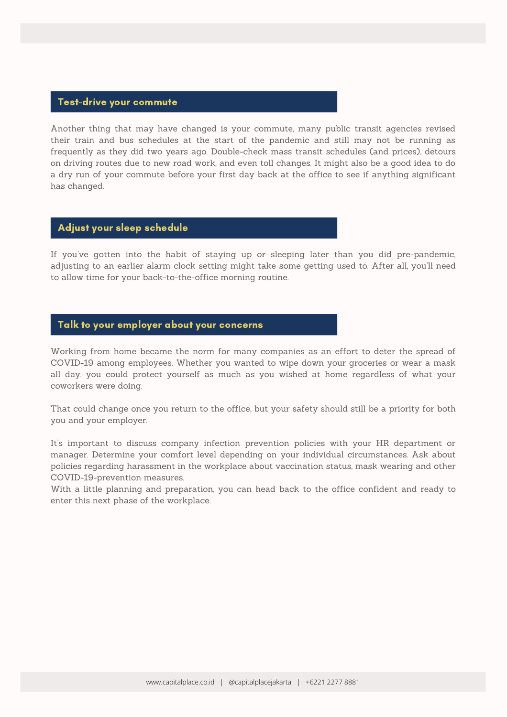#### Test-drive your commute

Another thing that may have changed is your commute, many public transit agencies revised their train and bus schedules at the start of the pandemic and still may not be running as frequently as they did two years ago. Double-check mass transit schedules (and prices), detours on driving routes due to new road work, and even toll changes. It might also be a good idea to do a dry run of your commute before your first day back at the office to see if anything significant has changed.

#### Adjust your sleep schedule

If you've gotten into the habit of staying up or sleeping later than you did pre-pandemic, adjusting to an earlier alarm clock setting might take some getting used to. After all, you'll need to allow time for your back-to-the-office morning routine.

#### Talk to your employer about your concerns

Working from home became the norm for many companies as an effort to deter the spread of COVID-19 among employees. Whether you wanted to wipe down your groceries or wear a mask all day, you could protect yourself as much as you wished at home regardless of what your coworkers were doing.

That could change once you return to the office, but your safety should still be a priority for both you and your employer.

It's important to discuss company infection prevention policies with your HR department or manager. Determine your comfort level depending on your individual circumstances. Ask about policies regarding [harassment](https://www.aarp.org/work/asking-coworkers-vaccine-status/) in the workplace about vaccination status, mask wearing and other COVID-19-prevention measures.

With a little planning and preparation, you can head back to the office confident and ready to enter this next phase of the workplace.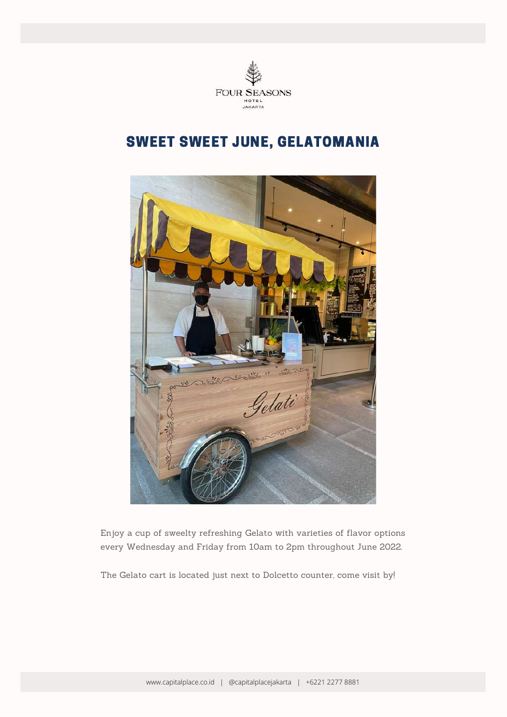

# SWEET SWEET JUNE, GELATOMANIA



Enjoy a cup of sweelty refreshing Gelato with varieties of flavor options every Wednesday and Friday from 10am to 2pm throughout June 2022.

The Gelato cart is located just next to Dolcetto counter, come visit by!